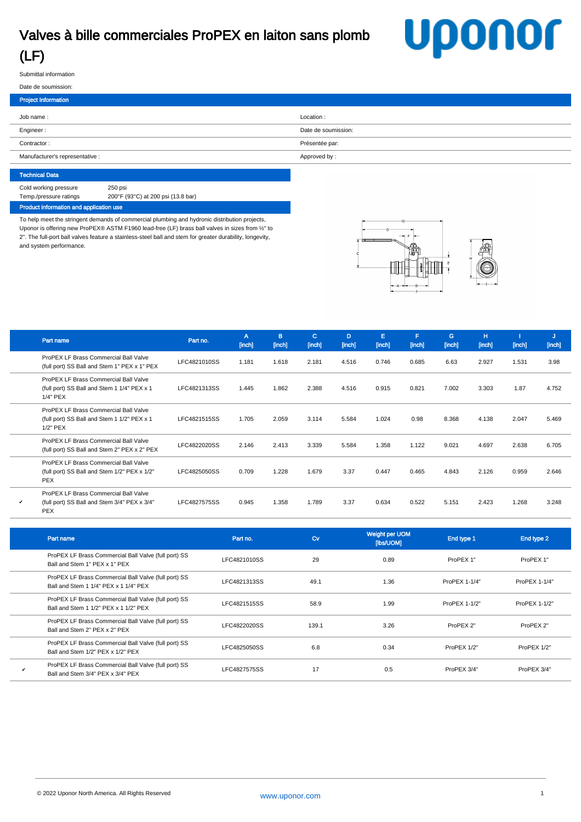## Valves à bille commerciales ProPEX en laiton sans plomb (LF)

## **Uponor**

Submittal information

## Date de soumission: Project Information Job name : Location : Engineer : Date de soumission: Date de soumission: Date de soumission: Contractor : Présentée par: Manufacturer's representative : Approved by :

Technical Data Cold working pressure 250 psi Temp./pressure ratings 200°F (93°C) at 200 psi (13.8 bar) Product information and application use

To help meet the stringent demands of commercial plumbing and hydronic distribution projects, Uponor is offering new ProPEX® ASTM F1960 lead-free (LF) brass ball valves in sizes from 1/2" to 2". The full-port ball valves feature a stainless-steel ball and stem for greater durability, longevity, and system performance.



|   | Part name                                                                                           | Part no.     | A<br>[inch] | B<br>[inch] | c.<br>[inch] | D<br>[inch] | E.<br>[inch] | F<br>[inch] | G<br>[inch] | H<br>[inch] | [inch] | IJ<br>[inch] |
|---|-----------------------------------------------------------------------------------------------------|--------------|-------------|-------------|--------------|-------------|--------------|-------------|-------------|-------------|--------|--------------|
|   | ProPEX LF Brass Commercial Ball Valve<br>(full port) SS Ball and Stem 1" PEX x 1" PEX               | LFC4821010SS | 1.181       | 1.618       | 2.181        | 4.516       | 0.746        | 0.685       | 6.63        | 2.927       | 1.531  | 3.98         |
|   | ProPEX LF Brass Commercial Ball Valve<br>(full port) SS Ball and Stem 1 1/4" PEX x 1<br>1/4" PEX    | LFC4821313SS | 1.445       | 1.862       | 2.388        | 4.516       | 0.915        | 0.821       | 7.002       | 3.303       | 1.87   | 4.752        |
|   | ProPEX LF Brass Commercial Ball Valve<br>(full port) SS Ball and Stem 1 1/2" PEX x 1<br>$1/2"$ PEX  | LFC4821515SS | 1.705       | 2.059       | 3.114        | 5.584       | 1.024        | 0.98        | 8.368       | 4.138       | 2.047  | 5.469        |
|   | ProPEX LF Brass Commercial Ball Valve<br>(full port) SS Ball and Stem 2" PEX x 2" PEX               | LFC4822020SS | 2.146       | 2.413       | 3.339        | 5.584       | 1.358        | 1.122       | 9.021       | 4.697       | 2.638  | 6.705        |
|   | ProPEX LF Brass Commercial Ball Valve<br>(full port) SS Ball and Stem 1/2" PEX x 1/2"<br><b>PEX</b> | LFC4825050SS | 0.709       | 1.228       | 1.679        | 3.37        | 0.447        | 0.465       | 4.843       | 2.126       | 0.959  | 2.646        |
| v | ProPEX LF Brass Commercial Ball Valve<br>(full port) SS Ball and Stem 3/4" PEX x 3/4"<br><b>PEX</b> | LFC4827575SS | 0.945       | 1.358       | 1.789        | 3.37        | 0.634        | 0.522       | 5.151       | 2.423       | 1.268  | 3.248        |

| Part name                                                                                     | Part no.     | Cv    | Weight per UOM<br>[Ibs/UOM] | End type 1    | End type 2    |
|-----------------------------------------------------------------------------------------------|--------------|-------|-----------------------------|---------------|---------------|
| ProPEX LF Brass Commercial Ball Valve (full port) SS<br>Ball and Stem 1" PEX x 1" PEX         | LFC4821010SS | 29    | 0.89                        | ProPEX 1"     | ProPEX 1"     |
| ProPEX LF Brass Commercial Ball Valve (full port) SS<br>Ball and Stem 1 1/4" PEX x 1 1/4" PEX | LFC4821313SS | 49.1  | 1.36                        | ProPEX 1-1/4" | ProPEX 1-1/4" |
| ProPEX LF Brass Commercial Ball Valve (full port) SS<br>Ball and Stem 1 1/2" PEX x 1 1/2" PEX | LFC4821515SS | 58.9  | 1.99                        | ProPEX 1-1/2" | ProPEX 1-1/2" |
| ProPEX LF Brass Commercial Ball Valve (full port) SS<br>Ball and Stem 2" PEX x 2" PEX         | LFC4822020SS | 139.1 | 3.26                        | ProPEX 2"     | ProPEX 2"     |
| ProPEX LF Brass Commercial Ball Valve (full port) SS<br>Ball and Stem 1/2" PEX x 1/2" PEX     | LFC4825050SS | 6.8   | 0.34                        | ProPEX 1/2"   | ProPEX 1/2"   |
| ProPEX LF Brass Commercial Ball Valve (full port) SS<br>Ball and Stem 3/4" PEX x 3/4" PEX     | LFC4827575SS | 17    | 0.5                         | ProPEX 3/4"   | ProPEX 3/4"   |